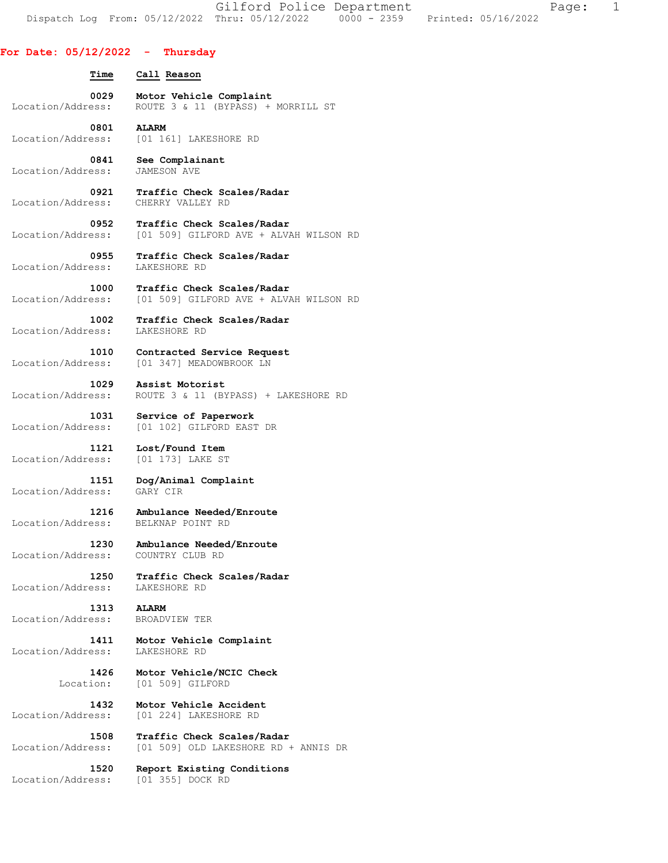Gilford Police Department Fage: 1 Dispatch Log From: 05/12/2022 Thru: 05/12/2022 0000 - 2359 Printed: 05/16/2022

## **For Date: 05/12/2022 - Thursday**

 **Time Call Reason 0029 Motor Vehicle Complaint**  Location/Address: ROUTE 3 & 11 (BYPASS) + MORRILL ST  **0801 ALARM**  Location/Address: [01 161] LAKESHORE RD  **0841 See Complainant**  Location/Address: JAMESON AVE  **0921 Traffic Check Scales/Radar**  Location/Address: CHERRY VALLEY RD  **0952 Traffic Check Scales/Radar**  Location/Address: [01 509] GILFORD AVE + ALVAH WILSON RD  **0955 Traffic Check Scales/Radar**  Location/Address: LAKESHORE RD **1000 Traffic Check Scales/Radar** Location/Address: [01 509] GILFORD AVE + ALV [01 509] GILFORD AVE + ALVAH WILSON RD  **1002 Traffic Check Scales/Radar**  Location/Address: LAKESHORE RD  **1010 Contracted Service Request**  Location/Address: [01 347] MEADOWBROOK LN  **1029 Assist Motorist**  Location/Address: ROUTE 3 & 11 (BYPASS) + LAKESHORE RD  **1031 Service of Paperwork**  Location/Address: [01 102] GILFORD EAST DR  **1121 Lost/Found Item**  Location/Address: [01 173] LAKE ST  **1151 Dog/Animal Complaint**  Location/Address: GARY CIR  **1216 Ambulance Needed/Enroute**  Location/Address: BELKNAP POINT RD  **1230 Ambulance Needed/Enroute**  Location/Address: COUNTRY CLUB RD  **1250 Traffic Check Scales/Radar**  Location/Address:  **1313 ALARM**  Location/Address: BROADVIEW TER  **1411 Motor Vehicle Complaint**  Location/Address: LAKESHORE RD  **1426 Motor Vehicle/NCIC Check**  Location: [01 509] GILFORD  **1432 Motor Vehicle Accident**  Location/Address: [01 224] LAKESHORE RD  **1508 Traffic Check Scales/Radar**  Location/Address: [01 509] OLD LAKESHORE RD + ANNIS DR  **1520 Report Existing Conditions** 

Location/Address: [01 355] DOCK RD